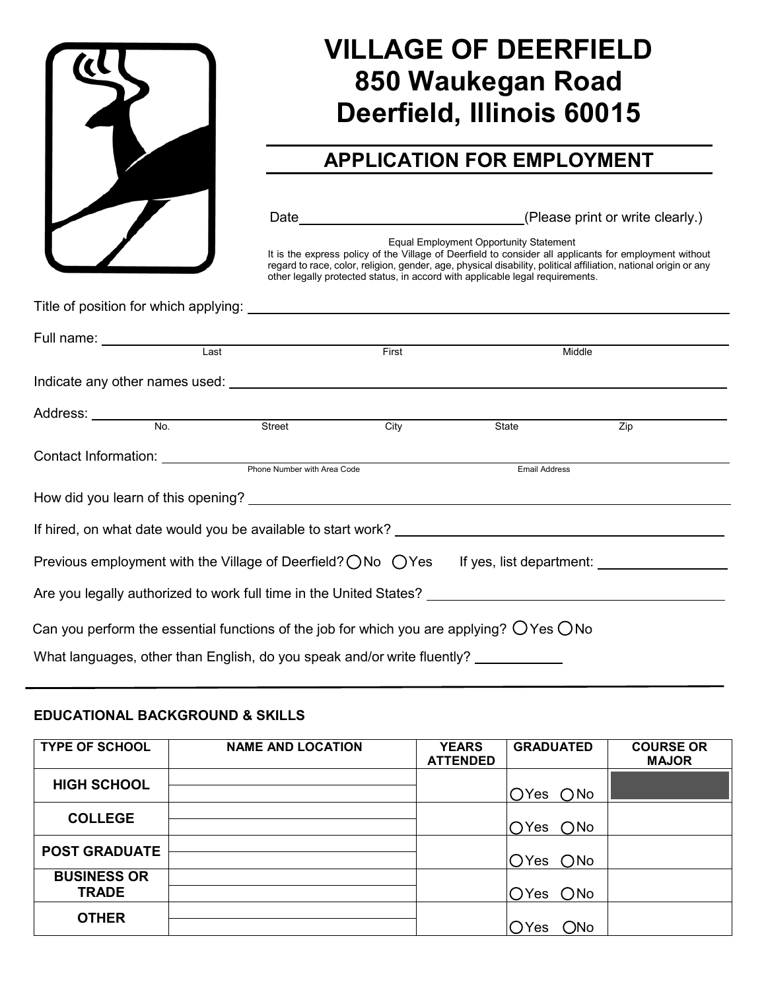

# **VILLAGE OF DEERFIELD 850 Waukegan Road Deerfield, Illinois 60015**

## **APPLICATION FOR EMPLOYMENT**

Date **Contract Contract Contract Contract Contract Contract Contract Contract Contract Contract Contract Contract Contract Contract Contract Contract Contract Contract Contract Contract Contract Contract Contract Contract** 

Equal Employment Opportunity Statement

It is the express policy of the Village of Deerfield to consider all applicants for employment without regard to race, color, religion, gender, age, physical disability, political affiliation, national origin or any other legally protected status, in accord with applicable legal requirements.

Title of position for which applying:

|                                                                         | Full name: __________________________________ |                                                  |       |                                                                                                                  |        |  |
|-------------------------------------------------------------------------|-----------------------------------------------|--------------------------------------------------|-------|------------------------------------------------------------------------------------------------------------------|--------|--|
|                                                                         | Last                                          |                                                  | First |                                                                                                                  | Middle |  |
|                                                                         |                                               |                                                  |       |                                                                                                                  |        |  |
|                                                                         |                                               |                                                  |       |                                                                                                                  |        |  |
|                                                                         |                                               | Address: <u>No.</u> No. Street                   | City  | State                                                                                                            | Zip    |  |
|                                                                         |                                               | Contact Information: Phone Number with Area Code |       |                                                                                                                  |        |  |
|                                                                         |                                               |                                                  |       | <b>Email Address</b>                                                                                             |        |  |
|                                                                         |                                               |                                                  |       |                                                                                                                  |        |  |
|                                                                         |                                               |                                                  |       |                                                                                                                  |        |  |
|                                                                         |                                               |                                                  |       | Previous employment with the Village of Deerfield? ◯ No ◯ Yes If yes, list department:  If yes, list department: |        |  |
|                                                                         |                                               |                                                  |       | Are you legally authorized to work full time in the United States? _________________________________             |        |  |
|                                                                         |                                               |                                                  |       | Can you perform the essential functions of the job for which you are applying? $\bigcirc$ Yes $\bigcirc$ No      |        |  |
| What languages, other than English, do you speak and/or write fluently? |                                               |                                                  |       |                                                                                                                  |        |  |

#### **EDUCATIONAL BACKGROUND & SKILLS**

| <b>TYPE OF SCHOOL</b>              | <b>NAME AND LOCATION</b> | <b>YEARS</b><br><b>ATTENDED</b> | <b>GRADUATED</b>     | <b>COURSE OR</b><br><b>MAJOR</b> |
|------------------------------------|--------------------------|---------------------------------|----------------------|----------------------------------|
| <b>HIGH SCHOOL</b>                 |                          |                                 | $OYes$ $ONo$         |                                  |
| <b>COLLEGE</b>                     |                          |                                 | $OYes$ $ONo$         |                                  |
| <b>POST GRADUATE</b>               |                          |                                 | OYes ONo             |                                  |
| <b>BUSINESS OR</b><br><b>TRADE</b> |                          |                                 | OYes ONo             |                                  |
| <b>OTHER</b>                       |                          |                                 | $\bigcirc$ No<br>'es |                                  |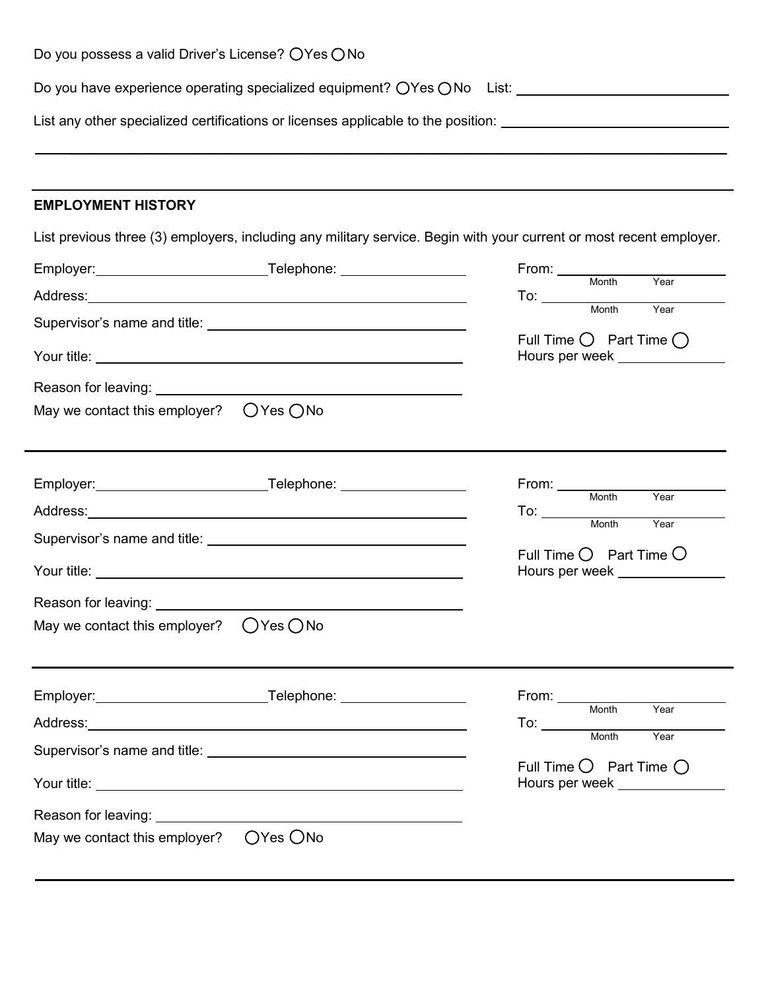| Do you possess a valid Driver's License? ○ Yes ○ No                                                                                                                                                                                 |                                                                                                                                                                                                                                                                                                                                                                                                                              |
|-------------------------------------------------------------------------------------------------------------------------------------------------------------------------------------------------------------------------------------|------------------------------------------------------------------------------------------------------------------------------------------------------------------------------------------------------------------------------------------------------------------------------------------------------------------------------------------------------------------------------------------------------------------------------|
| Do you have experience operating specialized equipment? ○Yes ○No List: <u>____________________________</u>                                                                                                                          |                                                                                                                                                                                                                                                                                                                                                                                                                              |
| List any other specialized certifications or licenses applicable to the position: ____________________________                                                                                                                      |                                                                                                                                                                                                                                                                                                                                                                                                                              |
| <b>EMPLOYMENT HISTORY</b>                                                                                                                                                                                                           |                                                                                                                                                                                                                                                                                                                                                                                                                              |
| List previous three (3) employers, including any military service. Begin with your current or most recent employer.                                                                                                                 |                                                                                                                                                                                                                                                                                                                                                                                                                              |
|                                                                                                                                                                                                                                     | From: Month<br>Year                                                                                                                                                                                                                                                                                                                                                                                                          |
|                                                                                                                                                                                                                                     | $\frac{1}{\sqrt{1-\frac{1}{2}}\sqrt{1-\frac{1}{2}}\sqrt{1-\frac{1}{2}}\sqrt{1-\frac{1}{2}}\sqrt{1-\frac{1}{2}}\sqrt{1-\frac{1}{2}}\sqrt{1-\frac{1}{2}}\sqrt{1-\frac{1}{2}}\sqrt{1-\frac{1}{2}}\sqrt{1-\frac{1}{2}}\sqrt{1-\frac{1}{2}}\sqrt{1-\frac{1}{2}}\sqrt{1-\frac{1}{2}}\sqrt{1-\frac{1}{2}}\sqrt{1-\frac{1}{2}}\sqrt{1-\frac{1}{2}}\sqrt{1-\frac{1}{2}}\sqrt{1-\frac{1}{2}}\sqrt{1-\frac{1}{2}}\sqrt{1-\frac$<br>Year |
|                                                                                                                                                                                                                                     |                                                                                                                                                                                                                                                                                                                                                                                                                              |
|                                                                                                                                                                                                                                     | Full Time $\bigcirc$ Part Time $\bigcirc$<br>Hours per week _______________                                                                                                                                                                                                                                                                                                                                                  |
|                                                                                                                                                                                                                                     |                                                                                                                                                                                                                                                                                                                                                                                                                              |
| May we contact this employer? $\bigcirc$ Yes $\bigcirc$ No                                                                                                                                                                          |                                                                                                                                                                                                                                                                                                                                                                                                                              |
| Address: <u>Address:</u> Address: Address: Address: Address: Address: Address: Address: Address: Address: Address: Address: Address: Address: Address: Address: Address: Address: Address: Address: Address: Address: Address: Addr | From: Month Year                                                                                                                                                                                                                                                                                                                                                                                                             |
|                                                                                                                                                                                                                                     | To: Month Year                                                                                                                                                                                                                                                                                                                                                                                                               |
|                                                                                                                                                                                                                                     | Full Time $O$ Part Time $O$<br>Hours per week <b>Notify Hours Property Notify</b>                                                                                                                                                                                                                                                                                                                                            |
| Reason for leaving:                                                                                                                                                                                                                 |                                                                                                                                                                                                                                                                                                                                                                                                                              |
| May we contact this employer? $\bigcirc$ Yes $\bigcirc$ No                                                                                                                                                                          |                                                                                                                                                                                                                                                                                                                                                                                                                              |
|                                                                                                                                                                                                                                     | From: <u>Wonth</u><br>Year                                                                                                                                                                                                                                                                                                                                                                                                   |
|                                                                                                                                                                                                                                     | To: Month                                                                                                                                                                                                                                                                                                                                                                                                                    |
|                                                                                                                                                                                                                                     | Year                                                                                                                                                                                                                                                                                                                                                                                                                         |
|                                                                                                                                                                                                                                     | Full Time $\bigcirc$ Part Time $\bigcirc$<br>Hours per week <b>Network</b>                                                                                                                                                                                                                                                                                                                                                   |
|                                                                                                                                                                                                                                     |                                                                                                                                                                                                                                                                                                                                                                                                                              |
| May we contact this employer?  OYes ONo                                                                                                                                                                                             |                                                                                                                                                                                                                                                                                                                                                                                                                              |